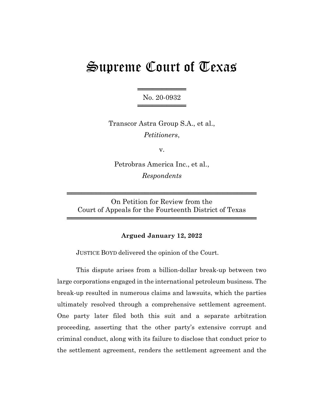# Supreme Court of Texas

═══════════════════ No. 20-0932 ═════════════════════

Transcor Astra Group S.A., et al., Petitioners,

v.

Petrobras America Inc., et al., Respondents

On Petition for Review from the Court of Appeals for the Fourteenth District of Texas

═══════════════════════════════════════

═══════════════════════════════════════

## Argued January 12, 2022

JUSTICE BOYD delivered the opinion of the Court.

This dispute arises from a billion-dollar break-up between two large corporations engaged in the international petroleum business. The break-up resulted in numerous claims and lawsuits, which the parties ultimately resolved through a comprehensive settlement agreement. One party later filed both this suit and a separate arbitration proceeding, asserting that the other party's extensive corrupt and criminal conduct, along with its failure to disclose that conduct prior to the settlement agreement, renders the settlement agreement and the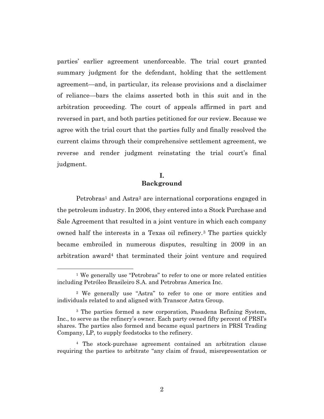parties' earlier agreement unenforceable. The trial court granted summary judgment for the defendant, holding that the settlement agreement—and, in particular, its release provisions and a disclaimer of reliance—bars the claims asserted both in this suit and in the arbitration proceeding. The court of appeals affirmed in part and reversed in part, and both parties petitioned for our review. Because we agree with the trial court that the parties fully and finally resolved the current claims through their comprehensive settlement agreement, we reverse and render judgment reinstating the trial court's final judgment.

# I. Background

Petrobras<sup>1</sup> and Astra<sup>2</sup> are international corporations engaged in the petroleum industry. In 2006, they entered into a Stock Purchase and Sale Agreement that resulted in a joint venture in which each company owned half the interests in a Texas oil refinery.3 The parties quickly became embroiled in numerous disputes, resulting in 2009 in an arbitration award4 that terminated their joint venture and required

<sup>&</sup>lt;sup>1</sup> We generally use "Petrobras" to refer to one or more related entities including Petróleo Brasileiro S.A. and Petrobras America Inc.

<sup>2</sup> We generally use "Astra" to refer to one or more entities and individuals related to and aligned with Transcor Astra Group.

<sup>3</sup> The parties formed a new corporation, Pasadena Refining System, Inc., to serve as the refinery's owner. Each party owned fifty percent of PRSI's shares. The parties also formed and became equal partners in PRSI Trading Company, LP, to supply feedstocks to the refinery.

<sup>4</sup> The stock-purchase agreement contained an arbitration clause requiring the parties to arbitrate "any claim of fraud, misrepresentation or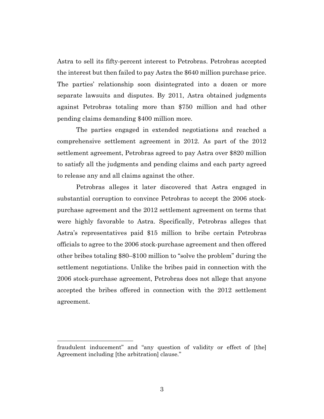Astra to sell its fifty-percent interest to Petrobras. Petrobras accepted the interest but then failed to pay Astra the \$640 million purchase price. The parties' relationship soon disintegrated into a dozen or more separate lawsuits and disputes. By 2011, Astra obtained judgments against Petrobras totaling more than \$750 million and had other pending claims demanding \$400 million more.

The parties engaged in extended negotiations and reached a comprehensive settlement agreement in 2012. As part of the 2012 settlement agreement, Petrobras agreed to pay Astra over \$820 million to satisfy all the judgments and pending claims and each party agreed to release any and all claims against the other.

Petrobras alleges it later discovered that Astra engaged in substantial corruption to convince Petrobras to accept the 2006 stockpurchase agreement and the 2012 settlement agreement on terms that were highly favorable to Astra. Specifically, Petrobras alleges that Astra's representatives paid \$15 million to bribe certain Petrobras officials to agree to the 2006 stock-purchase agreement and then offered other bribes totaling \$80–\$100 million to "solve the problem" during the settlement negotiations. Unlike the bribes paid in connection with the 2006 stock-purchase agreement, Petrobras does not allege that anyone accepted the bribes offered in connection with the 2012 settlement agreement.

fraudulent inducement" and "any question of validity or effect of [the] Agreement including [the arbitration] clause."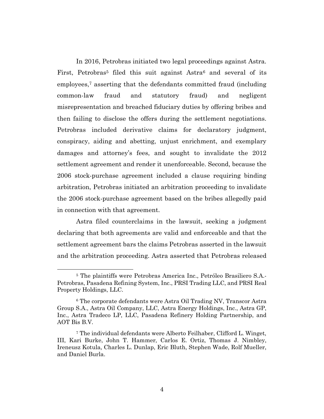In 2016, Petrobras initiated two legal proceedings against Astra. First, Petrobras<sup>5</sup> filed this suit against Astra<sup>6</sup> and several of its employees,<sup>7</sup> asserting that the defendants committed fraud (including common-law fraud and statutory fraud) and negligent misrepresentation and breached fiduciary duties by offering bribes and then failing to disclose the offers during the settlement negotiations. Petrobras included derivative claims for declaratory judgment, conspiracy, aiding and abetting, unjust enrichment, and exemplary damages and attorney's fees, and sought to invalidate the 2012 settlement agreement and render it unenforceable. Second, because the 2006 stock-purchase agreement included a clause requiring binding arbitration, Petrobras initiated an arbitration proceeding to invalidate the 2006 stock-purchase agreement based on the bribes allegedly paid in connection with that agreement.

Astra filed counterclaims in the lawsuit, seeking a judgment declaring that both agreements are valid and enforceable and that the settlement agreement bars the claims Petrobras asserted in the lawsuit and the arbitration proceeding. Astra asserted that Petrobras released

<sup>5</sup> The plaintiffs were Petrobras America Inc., Petróleo Brasiliero S.A.- Petrobras, Pasadena Refining System, Inc., PRSI Trading LLC, and PRSI Real Property Holdings, LLC.

<sup>6</sup> The corporate defendants were Astra Oil Trading NV, Transcor Astra Group S.A., Astra Oil Company, LLC, Astra Energy Holdings, Inc., Astra GP, Inc., Astra Tradeco LP, LLC, Pasadena Refinery Holding Partnership, and AOT Bis B.V.

<sup>7</sup> The individual defendants were Alberto Feilhaber, Clifford L. Winget, III, Kari Burke, John T. Hammer, Carlos E. Ortiz, Thomas J. Nimbley, Ireneusz Kotula, Charles L. Dunlap, Eric Bluth, Stephen Wade, Rolf Mueller, and Daniel Burla.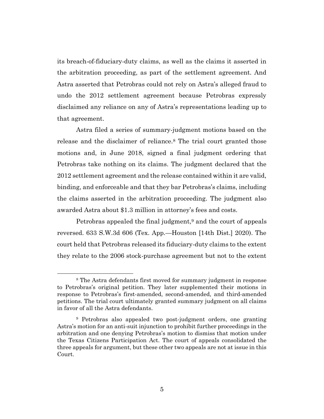its breach-of-fiduciary-duty claims, as well as the claims it asserted in the arbitration proceeding, as part of the settlement agreement. And Astra asserted that Petrobras could not rely on Astra's alleged fraud to undo the 2012 settlement agreement because Petrobras expressly disclaimed any reliance on any of Astra's representations leading up to that agreement.

Astra filed a series of summary-judgment motions based on the release and the disclaimer of reliance.8 The trial court granted those motions and, in June 2018, signed a final judgment ordering that Petrobras take nothing on its claims. The judgment declared that the 2012 settlement agreement and the release contained within it are valid, binding, and enforceable and that they bar Petrobras's claims, including the claims asserted in the arbitration proceeding. The judgment also awarded Astra about \$1.3 million in attorney's fees and costs.

Petrobras appealed the final judgment,<sup>9</sup> and the court of appeals reversed. 633 S.W.3d 606 (Tex. App.—Houston [14th Dist.] 2020). The court held that Petrobras released its fiduciary-duty claims to the extent they relate to the 2006 stock-purchase agreement but not to the extent

<sup>8</sup> The Astra defendants first moved for summary judgment in response to Petrobras's original petition. They later supplemented their motions in response to Petrobras's first-amended, second-amended, and third-amended petitions. The trial court ultimately granted summary judgment on all claims in favor of all the Astra defendants.

<sup>9</sup> Petrobras also appealed two post-judgment orders, one granting Astra's motion for an anti-suit injunction to prohibit further proceedings in the arbitration and one denying Petrobras's motion to dismiss that motion under the Texas Citizens Participation Act. The court of appeals consolidated the three appeals for argument, but these other two appeals are not at issue in this Court.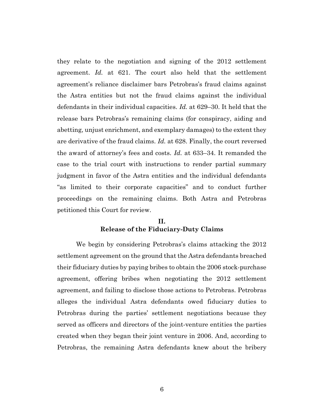they relate to the negotiation and signing of the 2012 settlement agreement. Id. at 621. The court also held that the settlement agreement's reliance disclaimer bars Petrobras's fraud claims against the Astra entities but not the fraud claims against the individual defendants in their individual capacities. Id. at 629–30. It held that the release bars Petrobras's remaining claims (for conspiracy, aiding and abetting, unjust enrichment, and exemplary damages) to the extent they are derivative of the fraud claims. Id. at 628. Finally, the court reversed the award of attorney's fees and costs. Id. at 633–34. It remanded the case to the trial court with instructions to render partial summary judgment in favor of the Astra entities and the individual defendants "as limited to their corporate capacities" and to conduct further proceedings on the remaining claims. Both Astra and Petrobras petitioned this Court for review.

## II. Release of the Fiduciary-Duty Claims

We begin by considering Petrobras's claims attacking the 2012 settlement agreement on the ground that the Astra defendants breached their fiduciary duties by paying bribes to obtain the 2006 stock-purchase agreement, offering bribes when negotiating the 2012 settlement agreement, and failing to disclose those actions to Petrobras. Petrobras alleges the individual Astra defendants owed fiduciary duties to Petrobras during the parties' settlement negotiations because they served as officers and directors of the joint-venture entities the parties created when they began their joint venture in 2006. And, according to Petrobras, the remaining Astra defendants knew about the bribery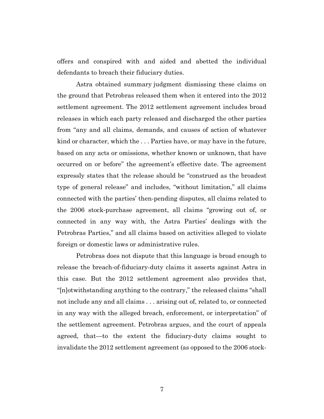offers and conspired with and aided and abetted the individual defendants to breach their fiduciary duties.

Astra obtained summary judgment dismissing these claims on the ground that Petrobras released them when it entered into the 2012 settlement agreement. The 2012 settlement agreement includes broad releases in which each party released and discharged the other parties from "any and all claims, demands, and causes of action of whatever kind or character, which the . . . Parties have, or may have in the future, based on any acts or omissions, whether known or unknown, that have occurred on or before" the agreement's effective date. The agreement expressly states that the release should be "construed as the broadest type of general release" and includes, "without limitation," all claims connected with the parties' then-pending disputes, all claims related to the 2006 stock-purchase agreement, all claims "growing out of, or connected in any way with, the Astra Parties' dealings with the Petrobras Parties," and all claims based on activities alleged to violate foreign or domestic laws or administrative rules.

Petrobras does not dispute that this language is broad enough to release the breach-of-fiduciary-duty claims it asserts against Astra in this case. But the 2012 settlement agreement also provides that, "[n]otwithstanding anything to the contrary," the released claims "shall not include any and all claims . . . arising out of, related to, or connected in any way with the alleged breach, enforcement, or interpretation" of the settlement agreement. Petrobras argues, and the court of appeals agreed, that—to the extent the fiduciary-duty claims sought to invalidate the 2012 settlement agreement (as opposed to the 2006 stock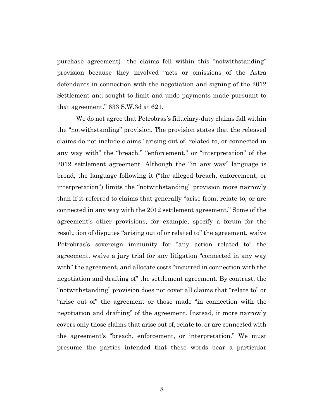purchase agreement)—the claims fell within this "notwithstanding" provision because they involved "acts or omissions of the Astra defendants in connection with the negotiation and signing of the 2012 Settlement and sought to limit and undo payments made pursuant to that agreement." 633 S.W.3d at 621.

We do not agree that Petrobras's fiduciary-duty claims fall within the "notwithstanding" provision. The provision states that the released claims do not include claims "arising out of, related to, or connected in any way with" the "breach," "enforcement," or "interpretation" of the 2012 settlement agreement. Although the "in any way" language is broad, the language following it ("the alleged breach, enforcement, or interpretation") limits the "notwithstanding" provision more narrowly than if it referred to claims that generally "arise from, relate to, or are connected in any way with the 2012 settlement agreement." Some of the agreement's other provisions, for example, specify a forum for the resolution of disputes "arising out of or related to" the agreement, waive Petrobras's sovereign immunity for "any action related to" the agreement, waive a jury trial for any litigation "connected in any way with" the agreement, and allocate costs "incurred in connection with the negotiation and drafting of" the settlement agreement. By contrast, the "notwithstanding" provision does not cover all claims that "relate to" or "arise out of" the agreement or those made "in connection with the negotiation and drafting" of the agreement. Instead, it more narrowly covers only those claims that arise out of, relate to, or are connected with the agreement's "breach, enforcement, or interpretation." We must presume the parties intended that these words bear a particular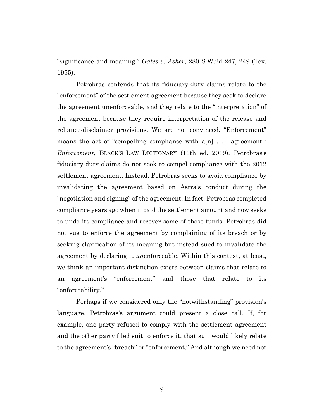"significance and meaning." Gates v. Asher, 280 S.W.2d 247, 249 (Tex. 1955).

Petrobras contends that its fiduciary-duty claims relate to the "enforcement" of the settlement agreement because they seek to declare the agreement unenforceable, and they relate to the "interpretation" of the agreement because they require interpretation of the release and reliance-disclaimer provisions. We are not convinced. "Enforcement" means the act of "compelling compliance with a[n] . . . agreement." Enforcement, BLACK'S LAW DICTIONARY (11th ed. 2019). Petrobras's fiduciary-duty claims do not seek to compel compliance with the 2012 settlement agreement. Instead, Petrobras seeks to avoid compliance by invalidating the agreement based on Astra's conduct during the "negotiation and signing" of the agreement. In fact, Petrobras completed compliance years ago when it paid the settlement amount and now seeks to undo its compliance and recover some of those funds. Petrobras did not sue to enforce the agreement by complaining of its breach or by seeking clarification of its meaning but instead sued to invalidate the agreement by declaring it unenforceable. Within this context, at least, we think an important distinction exists between claims that relate to an agreement's "enforcement" and those that relate to its "enforceability."

Perhaps if we considered only the "notwithstanding" provision's language, Petrobras's argument could present a close call. If, for example, one party refused to comply with the settlement agreement and the other party filed suit to enforce it, that suit would likely relate to the agreement's "breach" or "enforcement." And although we need not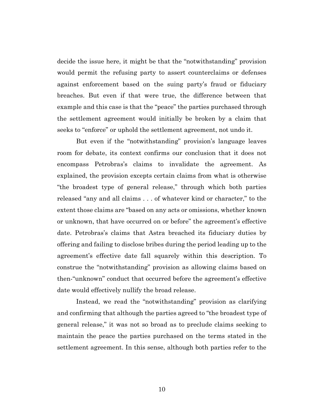decide the issue here, it might be that the "notwithstanding" provision would permit the refusing party to assert counterclaims or defenses against enforcement based on the suing party's fraud or fiduciary breaches. But even if that were true, the difference between that example and this case is that the "peace" the parties purchased through the settlement agreement would initially be broken by a claim that seeks to "enforce" or uphold the settlement agreement, not undo it.

But even if the "notwithstanding" provision's language leaves room for debate, its context confirms our conclusion that it does not encompass Petrobras's claims to invalidate the agreement. As explained, the provision excepts certain claims from what is otherwise "the broadest type of general release," through which both parties released "any and all claims . . . of whatever kind or character," to the extent those claims are "based on any acts or omissions, whether known or unknown, that have occurred on or before" the agreement's effective date. Petrobras's claims that Astra breached its fiduciary duties by offering and failing to disclose bribes during the period leading up to the agreement's effective date fall squarely within this description. To construe the "notwithstanding" provision as allowing claims based on then-"unknown" conduct that occurred before the agreement's effective date would effectively nullify the broad release.

Instead, we read the "notwithstanding" provision as clarifying and confirming that although the parties agreed to "the broadest type of general release," it was not so broad as to preclude claims seeking to maintain the peace the parties purchased on the terms stated in the settlement agreement. In this sense, although both parties refer to the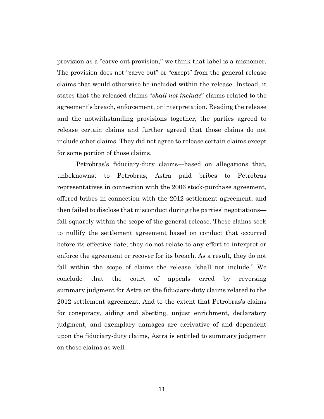provision as a "carve-out provision," we think that label is a misnomer. The provision does not "carve out" or "except" from the general release claims that would otherwise be included within the release. Instead, it states that the released claims "shall not include" claims related to the agreement's breach, enforcement, or interpretation. Reading the release and the notwithstanding provisions together, the parties agreed to release certain claims and further agreed that those claims do not include other claims. They did not agree to release certain claims except for some portion of those claims.

Petrobras's fiduciary-duty claims—based on allegations that, unbeknownst to Petrobras, Astra paid bribes to Petrobras representatives in connection with the 2006 stock-purchase agreement, offered bribes in connection with the 2012 settlement agreement, and then failed to disclose that misconduct during the parties' negotiations fall squarely within the scope of the general release. These claims seek to nullify the settlement agreement based on conduct that occurred before its effective date; they do not relate to any effort to interpret or enforce the agreement or recover for its breach. As a result, they do not fall within the scope of claims the release "shall not include." We conclude that the court of appeals erred by reversing summary judgment for Astra on the fiduciary-duty claims related to the 2012 settlement agreement. And to the extent that Petrobras's claims for conspiracy, aiding and abetting, unjust enrichment, declaratory judgment, and exemplary damages are derivative of and dependent upon the fiduciary-duty claims, Astra is entitled to summary judgment on those claims as well.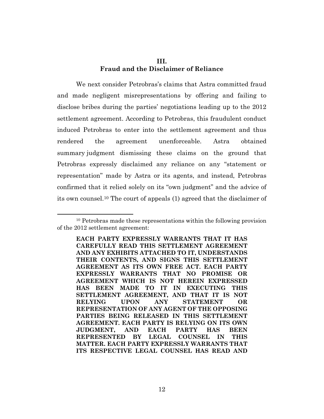# III. Fraud and the Disclaimer of Reliance

We next consider Petrobras's claims that Astra committed fraud and made negligent misrepresentations by offering and failing to disclose bribes during the parties' negotiations leading up to the 2012 settlement agreement. According to Petrobras, this fraudulent conduct induced Petrobras to enter into the settlement agreement and thus rendered the agreement unenforceable. Astra obtained summary judgment dismissing these claims on the ground that Petrobras expressly disclaimed any reliance on any "statement or representation" made by Astra or its agents, and instead, Petrobras confirmed that it relied solely on its "own judgment" and the advice of its own counsel.10 The court of appeals (1) agreed that the disclaimer of

<sup>10</sup> Petrobras made these representations within the following provision of the 2012 settlement agreement:

EACH PARTY EXPRESSLY WARRANTS THAT IT HAS CAREFULLY READ THIS SETTLEMENT AGREEMENT AND ANY EXHIBITS ATTACHED TO IT, UNDERSTANDS THEIR CONTENTS, AND SIGNS THIS SETTLEMENT AGREEMENT AS ITS OWN FREE ACT. EACH PARTY EXPRESSLY WARRANTS THAT NO PROMISE OR AGREEMENT WHICH IS NOT HEREIN EXPRESSED HAS BEEN MADE TO IT IN EXECUTING THIS SETTLEMENT AGREEMENT, AND THAT IT IS NOT RELYING UPON ANY STATEMENT OR REPRESENTATION OF ANY AGENT OF THE OPPOSING PARTIES BEING RELEASED IN THIS SETTLEMENT AGREEMENT. EACH PARTY IS RELYING ON ITS OWN JUDGMENT, AND EACH PARTY HAS BEEN REPRESENTED BY LEGAL COUNSEL IN THIS MATTER. EACH PARTY EXPRESSLY WARRANTS THAT ITS RESPECTIVE LEGAL COUNSEL HAS READ AND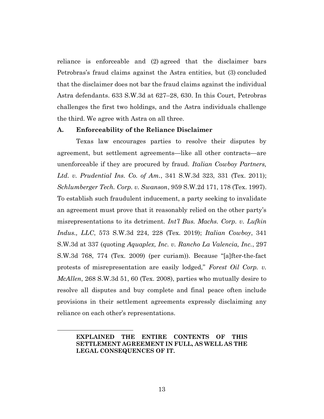reliance is enforceable and (2) agreed that the disclaimer bars Petrobras's fraud claims against the Astra entities, but (3) concluded that the disclaimer does not bar the fraud claims against the individual Astra defendants. 633 S.W.3d at 627–28, 630. In this Court, Petrobras challenges the first two holdings, and the Astra individuals challenge the third. We agree with Astra on all three.

### A. Enforceability of the Reliance Disclaimer

Texas law encourages parties to resolve their disputes by agreement, but settlement agreements—like all other contracts—are unenforceable if they are procured by fraud. Italian Cowboy Partners, Ltd. v. Prudential Ins. Co. of Am., 341 S.W.3d 323, 331 (Tex. 2011); Schlumberger Tech. Corp. v. Swanson, 959 S.W.2d 171, 178 (Tex. 1997). To establish such fraudulent inducement, a party seeking to invalidate an agreement must prove that it reasonably relied on the other party's misrepresentations to its detriment. *Int'l Bus. Machs. Corp. v. Lufkin* Indus., LLC, 573 S.W.3d 224, 228 (Tex. 2019); Italian Cowboy, 341 S.W.3d at 337 (quoting Aquaplex, Inc. v. Rancho La Valencia, Inc., 297 S.W.3d 768, 774 (Tex. 2009) (per curiam)). Because "[a]fter-the-fact protests of misrepresentation are easily lodged," Forest Oil Corp. v. McAllen, 268 S.W.3d 51, 60 (Tex. 2008), parties who mutually desire to resolve all disputes and buy complete and final peace often include provisions in their settlement agreements expressly disclaiming any reliance on each other's representations.

EXPLAINED THE ENTIRE CONTENTS OF THIS SETTLEMENT AGREEMENT IN FULL, AS WELL AS THE LEGAL CONSEQUENCES OF IT.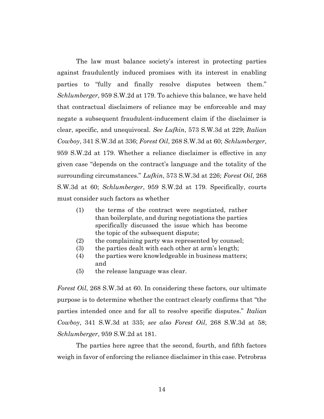The law must balance society's interest in protecting parties against fraudulently induced promises with its interest in enabling parties to "fully and finally resolve disputes between them." Schlumberger, 959 S.W.2d at 179. To achieve this balance, we have held that contractual disclaimers of reliance may be enforceable and may negate a subsequent fraudulent-inducement claim if the disclaimer is clear, specific, and unequivocal. See Lufkin, 573 S.W.3d at 229; Italian Cowboy, 341 S.W.3d at 336; Forest Oil, 268 S.W.3d at 60; Schlumberger, 959 S.W.2d at 179. Whether a reliance disclaimer is effective in any given case "depends on the contract's language and the totality of the surrounding circumstances." Lufkin, 573 S.W.3d at 226; Forest Oil, 268 S.W.3d at 60; Schlumberger, 959 S.W.2d at 179. Specifically, courts must consider such factors as whether

- (1) the terms of the contract were negotiated, rather than boilerplate, and during negotiations the parties specifically discussed the issue which has become the topic of the subsequent dispute;
- (2) the complaining party was represented by counsel;
- (3) the parties dealt with each other at arm's length;
- (4) the parties were knowledgeable in business matters; and
- (5) the release language was clear.

Forest Oil, 268 S.W.3d at 60. In considering these factors, our ultimate purpose is to determine whether the contract clearly confirms that "the parties intended once and for all to resolve specific disputes." Italian Cowboy, 341 S.W.3d at 335; see also Forest Oil, 268 S.W.3d at 58; Schlumberger, 959 S.W.2d at 181.

The parties here agree that the second, fourth, and fifth factors weigh in favor of enforcing the reliance disclaimer in this case. Petrobras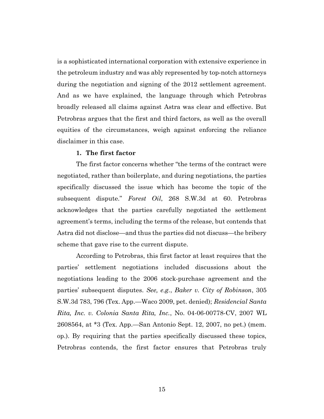is a sophisticated international corporation with extensive experience in the petroleum industry and was ably represented by top-notch attorneys during the negotiation and signing of the 2012 settlement agreement. And as we have explained, the language through which Petrobras broadly released all claims against Astra was clear and effective. But Petrobras argues that the first and third factors, as well as the overall equities of the circumstances, weigh against enforcing the reliance disclaimer in this case.

### 1. The first factor

The first factor concerns whether "the terms of the contract were negotiated, rather than boilerplate, and during negotiations, the parties specifically discussed the issue which has become the topic of the subsequent dispute." Forest Oil, 268 S.W.3d at 60. Petrobras acknowledges that the parties carefully negotiated the settlement agreement's terms, including the terms of the release, but contends that Astra did not disclose—and thus the parties did not discuss—the bribery scheme that gave rise to the current dispute.

According to Petrobras, this first factor at least requires that the parties' settlement negotiations included discussions about the negotiations leading to the 2006 stock-purchase agreement and the parties' subsequent disputes. See, e.g., Baker v. City of Robinson, 305 S.W.3d 783, 796 (Tex. App.—Waco 2009, pet. denied); Residencial Santa Rita, Inc. v. Colonia Santa Rita, Inc., No. 04-06-00778-CV, 2007 WL 2608564, at \*3 (Tex. App.—San Antonio Sept. 12, 2007, no pet.) (mem. op.). By requiring that the parties specifically discussed these topics, Petrobras contends, the first factor ensures that Petrobras truly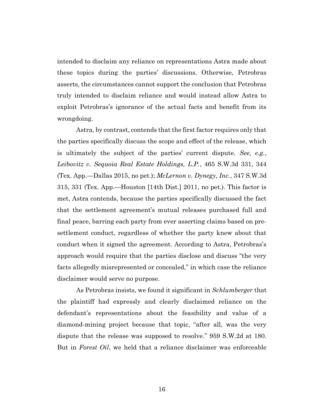intended to disclaim any reliance on representations Astra made about these topics during the parties' discussions. Otherwise, Petrobras asserts, the circumstances cannot support the conclusion that Petrobras truly intended to disclaim reliance and would instead allow Astra to exploit Petrobras's ignorance of the actual facts and benefit from its wrongdoing.

Astra, by contrast, contends that the first factor requires only that the parties specifically discuss the scope and effect of the release, which is ultimately the subject of the parties' current dispute. See, e.g., Leibovitz v. Sequoia Real Estate Holdings, L.P., 465 S.W.3d 331, 344 (Tex. App.—Dallas 2015, no pet.); *McLernon v. Dynegy, Inc.*, 347 S.W.3d 315, 331 (Tex. App.—Houston [14th Dist.] 2011, no pet.). This factor is met, Astra contends, because the parties specifically discussed the fact that the settlement agreement's mutual releases purchased full and final peace, barring each party from ever asserting claims based on presettlement conduct, regardless of whether the party knew about that conduct when it signed the agreement. According to Astra, Petrobras's approach would require that the parties disclose and discuss "the very facts allegedly misrepresented or concealed," in which case the reliance disclaimer would serve no purpose.

As Petrobras insists, we found it significant in Schlumberger that the plaintiff had expressly and clearly disclaimed reliance on the defendant's representations about the feasibility and value of a diamond-mining project because that topic, "after all, was the very dispute that the release was supposed to resolve." 959 S.W.2d at 180. But in *Forest Oil*, we held that a reliance disclaimer was enforceable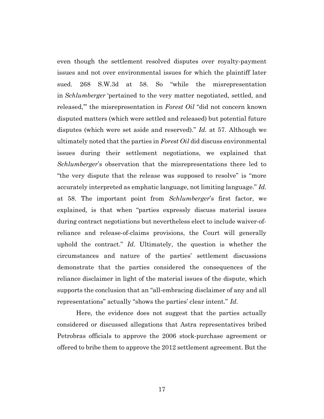even though the settlement resolved disputes over royalty-payment issues and not over environmental issues for which the plaintiff later sued. 268 S.W.3d at 58. So "while the misrepresentation in Schlumberger 'pertained to the very matter negotiated, settled, and released," the misrepresentation in Forest Oil "did not concern known disputed matters (which were settled and released) but potential future disputes (which were set aside and reserved)." Id. at 57. Although we ultimately noted that the parties in Forest Oil did discuss environmental issues during their settlement negotiations, we explained that Schlumberger's observation that the misrepresentations there led to "the very dispute that the release was supposed to resolve" is "more accurately interpreted as emphatic language, not limiting language." Id. at 58. The important point from Schlumberger's first factor, we explained, is that when "parties expressly discuss material issues during contract negotiations but nevertheless elect to include waiver-ofreliance and release-of-claims provisions, the Court will generally uphold the contract." Id. Ultimately, the question is whether the circumstances and nature of the parties' settlement discussions demonstrate that the parties considered the consequences of the reliance disclaimer in light of the material issues of the dispute, which supports the conclusion that an "all-embracing disclaimer of any and all representations" actually "shows the parties' clear intent." Id.

Here, the evidence does not suggest that the parties actually considered or discussed allegations that Astra representatives bribed Petrobras officials to approve the 2006 stock-purchase agreement or offered to bribe them to approve the 2012 settlement agreement. But the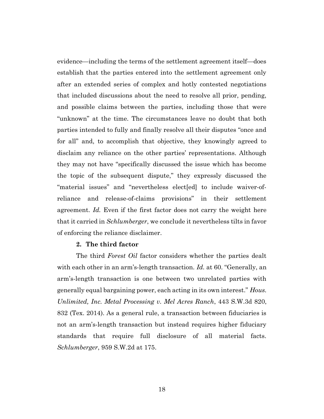evidence—including the terms of the settlement agreement itself—does establish that the parties entered into the settlement agreement only after an extended series of complex and hotly contested negotiations that included discussions about the need to resolve all prior, pending, and possible claims between the parties, including those that were "unknown" at the time. The circumstances leave no doubt that both parties intended to fully and finally resolve all their disputes "once and for all" and, to accomplish that objective, they knowingly agreed to disclaim any reliance on the other parties' representations. Although they may not have "specifically discussed the issue which has become the topic of the subsequent dispute," they expressly discussed the "material issues" and "nevertheless elect[ed] to include waiver-ofreliance and release-of-claims provisions" in their settlement agreement. Id. Even if the first factor does not carry the weight here that it carried in *Schlumberger*, we conclude it nevertheless tilts in favor of enforcing the reliance disclaimer.

## 2. The third factor

The third Forest Oil factor considers whether the parties dealt with each other in an arm's-length transaction. Id. at 60. "Generally, an arm's-length transaction is one between two unrelated parties with generally equal bargaining power, each acting in its own interest." Hous. Unlimited, Inc. Metal Processing v. Mel Acres Ranch, 443 S.W.3d 820, 832 (Tex. 2014). As a general rule, a transaction between fiduciaries is not an arm's-length transaction but instead requires higher fiduciary standards that require full disclosure of all material facts. Schlumberger, 959 S.W.2d at 175.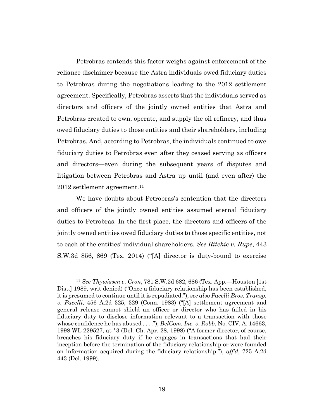Petrobras contends this factor weighs against enforcement of the reliance disclaimer because the Astra individuals owed fiduciary duties to Petrobras during the negotiations leading to the 2012 settlement agreement. Specifically, Petrobras asserts that the individuals served as directors and officers of the jointly owned entities that Astra and Petrobras created to own, operate, and supply the oil refinery, and thus owed fiduciary duties to those entities and their shareholders, including Petrobras. And, according to Petrobras, the individuals continued to owe fiduciary duties to Petrobras even after they ceased serving as officers and directors—even during the subsequent years of disputes and litigation between Petrobras and Astra up until (and even after) the 2012 settlement agreement.<sup>11</sup>

We have doubts about Petrobras's contention that the directors and officers of the jointly owned entities assumed eternal fiduciary duties to Petrobras. In the first place, the directors and officers of the jointly owned entities owed fiduciary duties to those specific entities, not to each of the entities' individual shareholders. See Ritchie v. Rupe, 443 S.W.3d 856, 869 (Tex. 2014) ("[A] director is duty-bound to exercise

<sup>11</sup> See Thywissen v. Cron, 781 S.W.2d 682, 686 (Tex. App.—Houston [1st Dist.] 1989, writ denied) ("Once a fiduciary relationship has been established, it is presumed to continue until it is repudiated."); see also Pacelli Bros. Transp. v. Pacelli, 456 A.2d 325, 329 (Conn. 1983) ("[A] settlement agreement and general release cannot shield an officer or director who has failed in his fiduciary duty to disclose information relevant to a transaction with those whose confidence he has abused  $\dots$ "; BelCom, Inc. v. Robb, No. CIV. A. 14663, 1998 WL 229527, at \*3 (Del. Ch. Apr. 28, 1998) ("A former director, of course, breaches his fiduciary duty if he engages in transactions that had their inception before the termination of the fiduciary relationship or were founded on information acquired during the fiduciary relationship."),  $\alpha f/d$ , 725 A.2d 443 (Del. 1999).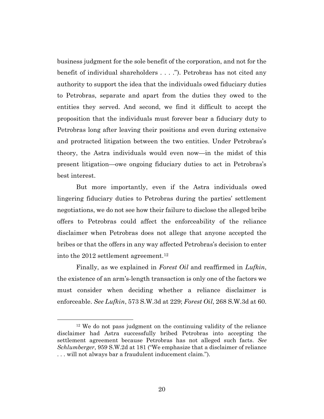business judgment for the sole benefit of the corporation, and not for the benefit of individual shareholders . . . ."). Petrobras has not cited any authority to support the idea that the individuals owed fiduciary duties to Petrobras, separate and apart from the duties they owed to the entities they served. And second, we find it difficult to accept the proposition that the individuals must forever bear a fiduciary duty to Petrobras long after leaving their positions and even during extensive and protracted litigation between the two entities. Under Petrobras's theory, the Astra individuals would even now—in the midst of this present litigation—owe ongoing fiduciary duties to act in Petrobras's best interest.

But more importantly, even if the Astra individuals owed lingering fiduciary duties to Petrobras during the parties' settlement negotiations, we do not see how their failure to disclose the alleged bribe offers to Petrobras could affect the enforceability of the reliance disclaimer when Petrobras does not allege that anyone accepted the bribes or that the offers in any way affected Petrobras's decision to enter into the 2012 settlement agreement.<sup>12</sup>

Finally, as we explained in Forest Oil and reaffirmed in Lufkin, the existence of an arm's-length transaction is only one of the factors we must consider when deciding whether a reliance disclaimer is enforceable. See Lufkin, 573 S.W.3d at 229; Forest Oil, 268 S.W.3d at 60.

<sup>12</sup> We do not pass judgment on the continuing validity of the reliance disclaimer had Astra successfully bribed Petrobras into accepting the settlement agreement because Petrobras has not alleged such facts. See Schlumberger, 959 S.W.2d at 181 ("We emphasize that a disclaimer of reliance . . . will not always bar a fraudulent inducement claim.").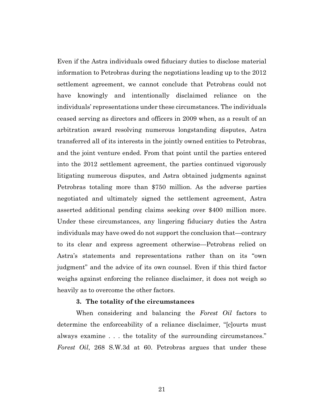Even if the Astra individuals owed fiduciary duties to disclose material information to Petrobras during the negotiations leading up to the 2012 settlement agreement, we cannot conclude that Petrobras could not have knowingly and intentionally disclaimed reliance on the individuals' representations under these circumstances. The individuals ceased serving as directors and officers in 2009 when, as a result of an arbitration award resolving numerous longstanding disputes, Astra transferred all of its interests in the jointly owned entities to Petrobras, and the joint venture ended. From that point until the parties entered into the 2012 settlement agreement, the parties continued vigorously litigating numerous disputes, and Astra obtained judgments against Petrobras totaling more than \$750 million. As the adverse parties negotiated and ultimately signed the settlement agreement, Astra asserted additional pending claims seeking over \$400 million more. Under these circumstances, any lingering fiduciary duties the Astra individuals may have owed do not support the conclusion that—contrary to its clear and express agreement otherwise—Petrobras relied on Astra's statements and representations rather than on its "own judgment" and the advice of its own counsel. Even if this third factor weighs against enforcing the reliance disclaimer, it does not weigh so heavily as to overcome the other factors.

#### 3. The totality of the circumstances

When considering and balancing the Forest Oil factors to determine the enforceability of a reliance disclaimer, "[c]ourts must always examine . . . the totality of the surrounding circumstances." Forest Oil, 268 S.W.3d at 60. Petrobras argues that under these

21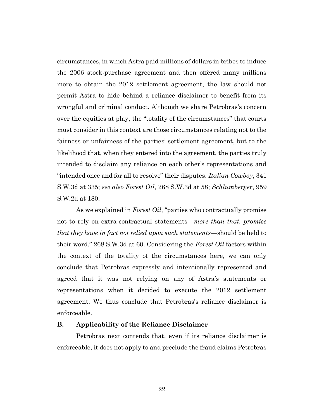circumstances, in which Astra paid millions of dollars in bribes to induce the 2006 stock-purchase agreement and then offered many millions more to obtain the 2012 settlement agreement, the law should not permit Astra to hide behind a reliance disclaimer to benefit from its wrongful and criminal conduct. Although we share Petrobras's concern over the equities at play, the "totality of the circumstances" that courts must consider in this context are those circumstances relating not to the fairness or unfairness of the parties' settlement agreement, but to the likelihood that, when they entered into the agreement, the parties truly intended to disclaim any reliance on each other's representations and "intended once and for all to resolve" their disputes. Italian Cowboy, 341 S.W.3d at 335; see also Forest Oil, 268 S.W.3d at 58; Schlumberger, 959 S.W.2d at 180.

As we explained in Forest Oil, "parties who contractually promise not to rely on extra-contractual statements—more than that, promise that they have in fact not relied upon such statements—should be held to their word." 268 S.W.3d at 60. Considering the Forest Oil factors within the context of the totality of the circumstances here, we can only conclude that Petrobras expressly and intentionally represented and agreed that it was not relying on any of Astra's statements or representations when it decided to execute the 2012 settlement agreement. We thus conclude that Petrobras's reliance disclaimer is enforceable.

### B. Applicability of the Reliance Disclaimer

Petrobras next contends that, even if its reliance disclaimer is enforceable, it does not apply to and preclude the fraud claims Petrobras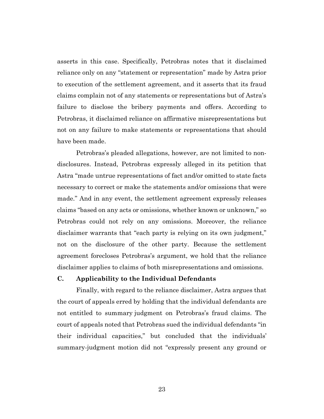asserts in this case. Specifically, Petrobras notes that it disclaimed reliance only on any "statement or representation" made by Astra prior to execution of the settlement agreement, and it asserts that its fraud claims complain not of any statements or representations but of Astra's failure to disclose the bribery payments and offers. According to Petrobras, it disclaimed reliance on affirmative misrepresentations but not on any failure to make statements or representations that should have been made.

Petrobras's pleaded allegations, however, are not limited to nondisclosures. Instead, Petrobras expressly alleged in its petition that Astra "made untrue representations of fact and/or omitted to state facts necessary to correct or make the statements and/or omissions that were made." And in any event, the settlement agreement expressly releases claims "based on any acts or omissions, whether known or unknown," so Petrobras could not rely on any omissions. Moreover, the reliance disclaimer warrants that "each party is relying on its own judgment," not on the disclosure of the other party. Because the settlement agreement forecloses Petrobras's argument, we hold that the reliance disclaimer applies to claims of both misrepresentations and omissions.

## C. Applicability to the Individual Defendants

Finally, with regard to the reliance disclaimer, Astra argues that the court of appeals erred by holding that the individual defendants are not entitled to summary judgment on Petrobras's fraud claims. The court of appeals noted that Petrobras sued the individual defendants "in their individual capacities," but concluded that the individuals' summary-judgment motion did not "expressly present any ground or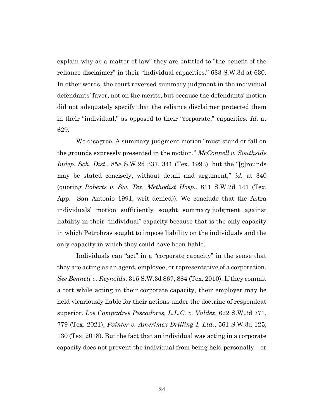explain why as a matter of law" they are entitled to "the benefit of the reliance disclaimer" in their "individual capacities." 633 S.W.3d at 630. In other words, the court reversed summary judgment in the individual defendants' favor, not on the merits, but because the defendants' motion did not adequately specify that the reliance disclaimer protected them in their "individual," as opposed to their "corporate," capacities. Id. at 629.

We disagree. A summary-judgment motion "must stand or fall on the grounds expressly presented in the motion." McConnell v. Southside Indep. Sch. Dist., 858 S.W.2d 337, 341 (Tex. 1993), but the "[g]rounds may be stated concisely, without detail and argument," id. at 340 (quoting Roberts v. Sw. Tex. Methodist Hosp., 811  $S.W.2d$  141 (Tex.) App.—San Antonio 1991, writ denied)). We conclude that the Astra individuals' motion sufficiently sought summary judgment against liability in their "individual" capacity because that is the only capacity in which Petrobras sought to impose liability on the individuals and the only capacity in which they could have been liable.

Individuals can "act" in a "corporate capacity" in the sense that they are acting as an agent, employee, or representative of a corporation. See Bennett v. Reynolds, 315 S.W.3d 867, 884 (Tex. 2010). If they commit a tort while acting in their corporate capacity, their employer may be held vicariously liable for their actions under the doctrine of respondeat superior. Los Compadres Pescadores, L.L.C. v. Valdez, 622 S.W.3d 771, 779 (Tex. 2021); Painter v. Amerimex Drilling I, Ltd., 561 S.W.3d 125, 130 (Tex. 2018). But the fact that an individual was acting in a corporate capacity does not prevent the individual from being held personally—or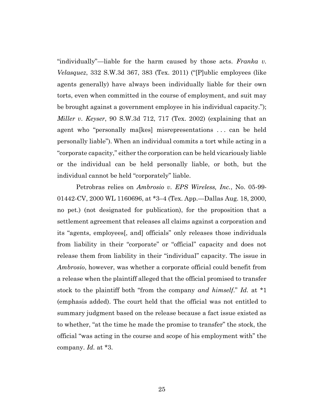"individually"—liable for the harm caused by those acts. Franka v. Velasquez, 332 S.W.3d 367, 383 (Tex. 2011) ("[P]ublic employees (like agents generally) have always been individually liable for their own torts, even when committed in the course of employment, and suit may be brought against a government employee in his individual capacity."); Miller v. Keyser, 90 S.W.3d 712, 717 (Tex. 2002) (explaining that an agent who "personally ma[kes] misrepresentations . . . can be held personally liable"). When an individual commits a tort while acting in a "corporate capacity," either the corporation can be held vicariously liable or the individual can be held personally liable, or both, but the individual cannot be held "corporately" liable.

Petrobras relies on Ambrosio v. EPS Wireless, Inc., No. 05-99- 01442-CV, 2000 WL 1160696, at \*3–4 (Tex. App.—Dallas Aug. 18, 2000, no pet.) (not designated for publication), for the proposition that a settlement agreement that releases all claims against a corporation and its "agents, employees[, and] officials" only releases those individuals from liability in their "corporate" or "official" capacity and does not release them from liability in their "individual" capacity. The issue in Ambrosio, however, was whether a corporate official could benefit from a release when the plaintiff alleged that the official promised to transfer stock to the plaintiff both "from the company and himself." Id. at \*1 (emphasis added). The court held that the official was not entitled to summary judgment based on the release because a fact issue existed as to whether, "at the time he made the promise to transfer" the stock, the official "was acting in the course and scope of his employment with" the company. *Id.* at  $*3$ .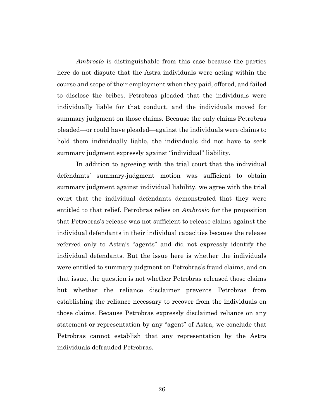Ambrosio is distinguishable from this case because the parties here do not dispute that the Astra individuals were acting within the course and scope of their employment when they paid, offered, and failed to disclose the bribes. Petrobras pleaded that the individuals were individually liable for that conduct, and the individuals moved for summary judgment on those claims. Because the only claims Petrobras pleaded—or could have pleaded—against the individuals were claims to hold them individually liable, the individuals did not have to seek summary judgment expressly against "individual" liability.

In addition to agreeing with the trial court that the individual defendants' summary-judgment motion was sufficient to obtain summary judgment against individual liability, we agree with the trial court that the individual defendants demonstrated that they were entitled to that relief. Petrobras relies on Ambrosio for the proposition that Petrobras's release was not sufficient to release claims against the individual defendants in their individual capacities because the release referred only to Astra's "agents" and did not expressly identify the individual defendants. But the issue here is whether the individuals were entitled to summary judgment on Petrobras's fraud claims, and on that issue, the question is not whether Petrobras released those claims but whether the reliance disclaimer prevents Petrobras from establishing the reliance necessary to recover from the individuals on those claims. Because Petrobras expressly disclaimed reliance on any statement or representation by any "agent" of Astra, we conclude that Petrobras cannot establish that any representation by the Astra individuals defrauded Petrobras.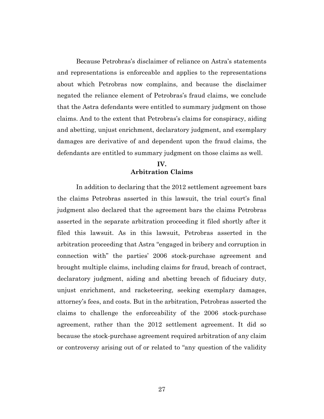Because Petrobras's disclaimer of reliance on Astra's statements and representations is enforceable and applies to the representations about which Petrobras now complains, and because the disclaimer negated the reliance element of Petrobras's fraud claims, we conclude that the Astra defendants were entitled to summary judgment on those claims. And to the extent that Petrobras's claims for conspiracy, aiding and abetting, unjust enrichment, declaratory judgment, and exemplary damages are derivative of and dependent upon the fraud claims, the defendants are entitled to summary judgment on those claims as well.

## IV. Arbitration Claims

In addition to declaring that the 2012 settlement agreement bars the claims Petrobras asserted in this lawsuit, the trial court's final judgment also declared that the agreement bars the claims Petrobras asserted in the separate arbitration proceeding it filed shortly after it filed this lawsuit. As in this lawsuit, Petrobras asserted in the arbitration proceeding that Astra "engaged in bribery and corruption in connection with" the parties' 2006 stock-purchase agreement and brought multiple claims, including claims for fraud, breach of contract, declaratory judgment, aiding and abetting breach of fiduciary duty, unjust enrichment, and racketeering, seeking exemplary damages, attorney's fees, and costs. But in the arbitration, Petrobras asserted the claims to challenge the enforceability of the 2006 stock-purchase agreement, rather than the 2012 settlement agreement. It did so because the stock-purchase agreement required arbitration of any claim or controversy arising out of or related to "any question of the validity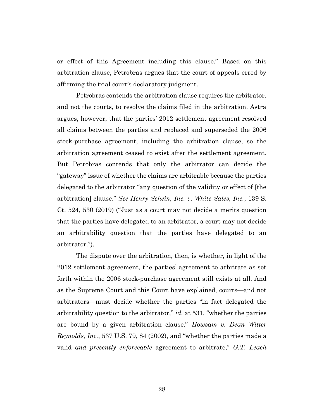or effect of this Agreement including this clause." Based on this arbitration clause, Petrobras argues that the court of appeals erred by affirming the trial court's declaratory judgment.

Petrobras contends the arbitration clause requires the arbitrator, and not the courts, to resolve the claims filed in the arbitration. Astra argues, however, that the parties' 2012 settlement agreement resolved all claims between the parties and replaced and superseded the 2006 stock-purchase agreement, including the arbitration clause, so the arbitration agreement ceased to exist after the settlement agreement. But Petrobras contends that only the arbitrator can decide the "gateway" issue of whether the claims are arbitrable because the parties delegated to the arbitrator "any question of the validity or effect of [the arbitration] clause." See Henry Schein, Inc. v. White Sales, Inc., 139 S. Ct. 524, 530 (2019) ("Just as a court may not decide a merits question that the parties have delegated to an arbitrator, a court may not decide an arbitrability question that the parties have delegated to an arbitrator.").

The dispute over the arbitration, then, is whether, in light of the 2012 settlement agreement, the parties' agreement to arbitrate as set forth within the 2006 stock-purchase agreement still exists at all. And as the Supreme Court and this Court have explained, courts—and not arbitrators—must decide whether the parties "in fact delegated the arbitrability question to the arbitrator," id. at 531, "whether the parties are bound by a given arbitration clause," Howsam v. Dean Witter Reynolds, Inc., 537 U.S. 79, 84 (2002), and "whether the parties made a valid and presently enforceable agreement to arbitrate," G.T. Leach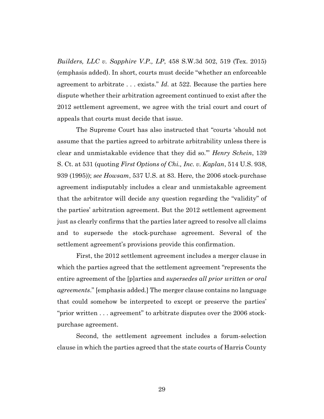Builders, LLC v. Sapphire V.P., LP, 458 S.W.3d 502, 519 (Tex. 2015) (emphasis added). In short, courts must decide "whether an enforceable agreement to arbitrate  $\ldots$  exists." Id. at 522. Because the parties here dispute whether their arbitration agreement continued to exist after the 2012 settlement agreement, we agree with the trial court and court of appeals that courts must decide that issue.

The Supreme Court has also instructed that "courts 'should not assume that the parties agreed to arbitrate arbitrability unless there is clear and unmistakable evidence that they did so.'" Henry Schein, 139 S. Ct. at 531 (quoting First Options of Chi., Inc. v. Kaplan, 514 U.S. 938, 939 (1995)); see Howsam, 537 U.S. at 83. Here, the 2006 stock-purchase agreement indisputably includes a clear and unmistakable agreement that the arbitrator will decide any question regarding the "validity" of the parties' arbitration agreement. But the 2012 settlement agreement just as clearly confirms that the parties later agreed to resolve all claims and to supersede the stock-purchase agreement. Several of the settlement agreement's provisions provide this confirmation.

First, the 2012 settlement agreement includes a merger clause in which the parties agreed that the settlement agreement "represents the entire agreement of the [p]arties and *supersedes all prior written or oral* agreements." [emphasis added.] The merger clause contains no language that could somehow be interpreted to except or preserve the parties' "prior written . . . agreement" to arbitrate disputes over the 2006 stockpurchase agreement.

Second, the settlement agreement includes a forum-selection clause in which the parties agreed that the state courts of Harris County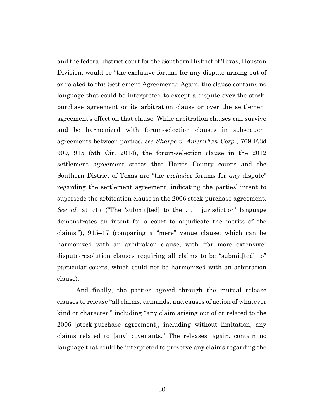and the federal district court for the Southern District of Texas, Houston Division, would be "the exclusive forums for any dispute arising out of or related to this Settlement Agreement." Again, the clause contains no language that could be interpreted to except a dispute over the stockpurchase agreement or its arbitration clause or over the settlement agreement's effect on that clause. While arbitration clauses can survive and be harmonized with forum-selection clauses in subsequent agreements between parties, see Sharpe v. AmeriPlan Corp., 769 F.3d 909, 915 (5th Cir. 2014), the forum-selection clause in the 2012 settlement agreement states that Harris County courts and the Southern District of Texas are "the *exclusive* forums for *any* dispute" regarding the settlement agreement, indicating the parties' intent to supersede the arbitration clause in the 2006 stock-purchase agreement. See id. at 917 ("The 'submit [ted] to the ... jurisdiction' language demonstrates an intent for a court to adjudicate the merits of the claims."), 915–17 (comparing a "mere" venue clause, which can be harmonized with an arbitration clause, with "far more extensive" dispute-resolution clauses requiring all claims to be "submit[ted] to" particular courts, which could not be harmonized with an arbitration clause).

And finally, the parties agreed through the mutual release clauses to release "all claims, demands, and causes of action of whatever kind or character," including "any claim arising out of or related to the 2006 [stock-purchase agreement], including without limitation, any claims related to [any] covenants." The releases, again, contain no language that could be interpreted to preserve any claims regarding the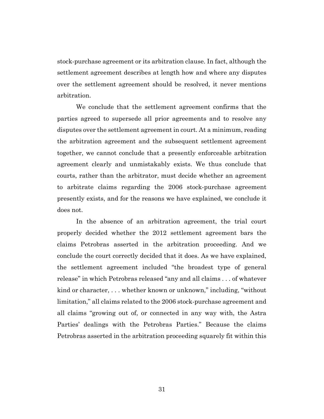stock-purchase agreement or its arbitration clause. In fact, although the settlement agreement describes at length how and where any disputes over the settlement agreement should be resolved, it never mentions arbitration.

We conclude that the settlement agreement confirms that the parties agreed to supersede all prior agreements and to resolve any disputes over the settlement agreement in court. At a minimum, reading the arbitration agreement and the subsequent settlement agreement together, we cannot conclude that a presently enforceable arbitration agreement clearly and unmistakably exists. We thus conclude that courts, rather than the arbitrator, must decide whether an agreement to arbitrate claims regarding the 2006 stock-purchase agreement presently exists, and for the reasons we have explained, we conclude it does not.

In the absence of an arbitration agreement, the trial court properly decided whether the 2012 settlement agreement bars the claims Petrobras asserted in the arbitration proceeding. And we conclude the court correctly decided that it does. As we have explained, the settlement agreement included "the broadest type of general release" in which Petrobras released "any and all claims . . . of whatever kind or character, . . . whether known or unknown," including, "without limitation," all claims related to the 2006 stock-purchase agreement and all claims "growing out of, or connected in any way with, the Astra Parties' dealings with the Petrobras Parties." Because the claims Petrobras asserted in the arbitration proceeding squarely fit within this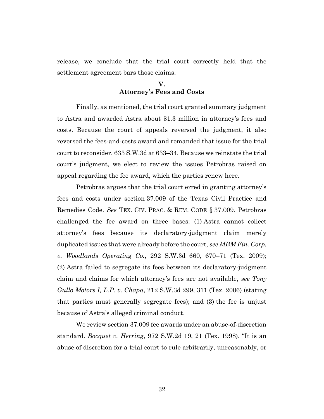release, we conclude that the trial court correctly held that the settlement agreement bars those claims.

# V. Attorney's Fees and Costs

Finally, as mentioned, the trial court granted summary judgment to Astra and awarded Astra about \$1.3 million in attorney's fees and costs. Because the court of appeals reversed the judgment, it also reversed the fees-and-costs award and remanded that issue for the trial court to reconsider. 633 S.W.3d at 633–34. Because we reinstate the trial court's judgment, we elect to review the issues Petrobras raised on appeal regarding the fee award, which the parties renew here.

Petrobras argues that the trial court erred in granting attorney's fees and costs under section 37.009 of the Texas Civil Practice and Remedies Code. See TEX. CIV. PRAC. & REM. CODE § 37.009. Petrobras challenged the fee award on three bases: (1) Astra cannot collect attorney's fees because its declaratory-judgment claim merely duplicated issues that were already before the court, see MBM Fin. Corp. v. Woodlands Operating Co., 292 S.W.3d 660, 670–71 (Tex. 2009); (2) Astra failed to segregate its fees between its declaratory-judgment claim and claims for which attorney's fees are not available, see Tony Gullo Motors I, L.P. v. Chapa, 212 S.W.3d 299, 311 (Tex. 2006) (stating that parties must generally segregate fees); and (3) the fee is unjust because of Astra's alleged criminal conduct.

We review section 37.009 fee awards under an abuse-of-discretion standard. Bocquet v. Herring, 972 S.W.2d 19, 21 (Tex. 1998). "It is an abuse of discretion for a trial court to rule arbitrarily, unreasonably, or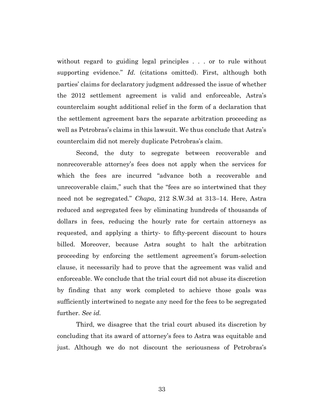without regard to guiding legal principles . . . or to rule without supporting evidence." Id. (citations omitted). First, although both parties' claims for declaratory judgment addressed the issue of whether the 2012 settlement agreement is valid and enforceable, Astra's counterclaim sought additional relief in the form of a declaration that the settlement agreement bars the separate arbitration proceeding as well as Petrobras's claims in this lawsuit. We thus conclude that Astra's counterclaim did not merely duplicate Petrobras's claim.

Second, the duty to segregate between recoverable and nonrecoverable attorney's fees does not apply when the services for which the fees are incurred "advance both a recoverable and unrecoverable claim," such that the "fees are so intertwined that they need not be segregated." Chapa, 212 S.W.3d at 313–14. Here, Astra reduced and segregated fees by eliminating hundreds of thousands of dollars in fees, reducing the hourly rate for certain attorneys as requested, and applying a thirty- to fifty-percent discount to hours billed. Moreover, because Astra sought to halt the arbitration proceeding by enforcing the settlement agreement's forum-selection clause, it necessarily had to prove that the agreement was valid and enforceable. We conclude that the trial court did not abuse its discretion by finding that any work completed to achieve those goals was sufficiently intertwined to negate any need for the fees to be segregated further. See id.

Third, we disagree that the trial court abused its discretion by concluding that its award of attorney's fees to Astra was equitable and just. Although we do not discount the seriousness of Petrobras's